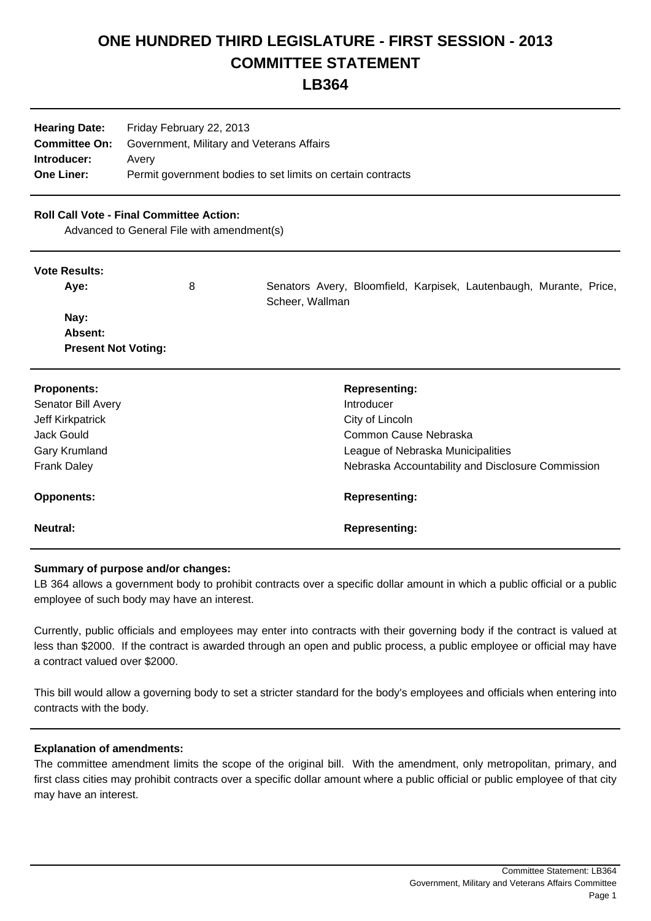# **ONE HUNDRED THIRD LEGISLATURE - FIRST SESSION - 2013 COMMITTEE STATEMENT**

# **LB364**

| <b>Hearing Date:</b> | Friday February 22, 2013                                    |  |
|----------------------|-------------------------------------------------------------|--|
| <b>Committee On:</b> | Government, Military and Veterans Affairs                   |  |
| Introducer:          | Avery                                                       |  |
| <b>One Liner:</b>    | Permit government bodies to set limits on certain contracts |  |
|                      |                                                             |  |

## **Roll Call Vote - Final Committee Action:**

 **Present Not Voting:**

Advanced to General File with amendment(s)

#### **Vote Results:**

| Ave:    | 8 | Senators Avery, Bloomfield, Karpisek, Lautenbaugh, Murante, Price,<br>Scheer, Wallman |  |
|---------|---|---------------------------------------------------------------------------------------|--|
| Nay:    |   |                                                                                       |  |
| Absent: |   |                                                                                       |  |

| <b>Proponents:</b> | <b>Representing:</b>                              |
|--------------------|---------------------------------------------------|
| Senator Bill Avery | Introducer                                        |
| Jeff Kirkpatrick   | City of Lincoln                                   |
| Jack Gould         | Common Cause Nebraska                             |
| Gary Krumland      | League of Nebraska Municipalities                 |
| <b>Frank Daley</b> | Nebraska Accountability and Disclosure Commission |
| <b>Opponents:</b>  | <b>Representing:</b>                              |
| <b>Neutral:</b>    | <b>Representing:</b>                              |

# **Summary of purpose and/or changes:**

LB 364 allows a government body to prohibit contracts over a specific dollar amount in which a public official or a public employee of such body may have an interest.

Currently, public officials and employees may enter into contracts with their governing body if the contract is valued at less than \$2000. If the contract is awarded through an open and public process, a public employee or official may have a contract valued over \$2000.

This bill would allow a governing body to set a stricter standard for the body's employees and officials when entering into contracts with the body.

### **Explanation of amendments:**

The committee amendment limits the scope of the original bill. With the amendment, only metropolitan, primary, and first class cities may prohibit contracts over a specific dollar amount where a public official or public employee of that city may have an interest.